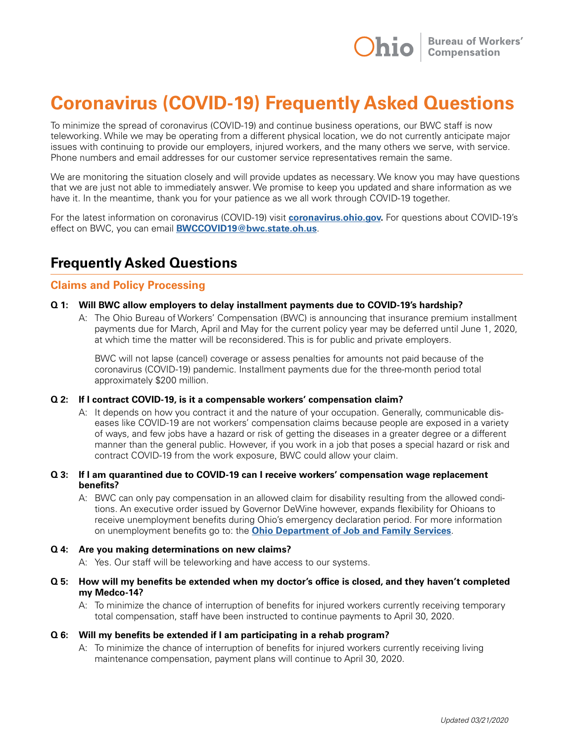

# **Coronavirus (COVID-19) Frequently Asked Questions**

To minimize the spread of coronavirus (COVID-19) and continue business operations, our BWC staff is now teleworking. While we may be operating from a different physical location, we do not currently anticipate major issues with continuing to provide our employers, injured workers, and the many others we serve, with service. Phone numbers and email addresses for our customer service representatives remain the same.

We are monitoring the situation closely and will provide updates as necessary. We know you may have questions that we are just not able to immediately answer. We promise to keep you updated and share information as we have it. In the meantime, thank you for your patience as we all work through COVID-19 together.

For the latest information on coronavirus (COVID-19) visit **[coronavirus.ohio.gov](http://coronavirus.ohio.gov).** For questions about COVID-19's effect on BWC, you can email **[BWCCOVID19@bwc.state.oh.us](mailto:BWCCOVID19%40bwc.state.oh.us?subject=)**.

# **Frequently Asked Questions**

# **Claims and Policy Processing**

#### **Q 1: Will BWC allow employers to delay installment payments due to COVID-19's hardship?**

A: The Ohio Bureau of Workers' Compensation (BWC) is announcing that insurance premium installment payments due for March, April and May for the current policy year may be deferred until June 1, 2020, at which time the matter will be reconsidered. This is for public and private employers.

 BWC will not lapse (cancel) coverage or assess penalties for amounts not paid because of the coronavirus (COVID-19) pandemic. Installment payments due for the three-month period total approximately \$200 million.

#### **Q 2: If I contract COVID-19, is it a compensable workers' compensation claim?**

A: It depends on how you contract it and the nature of your occupation. Generally, communicable diseases like COVID-19 are not workers' compensation claims because people are exposed in a variety of ways, and few jobs have a hazard or risk of getting the diseases in a greater degree or a different manner than the general public. However, if you work in a job that poses a special hazard or risk and contract COVID-19 from the work exposure, BWC could allow your claim.

#### **Q 3: If I am quarantined due to COVID-19 can I receive workers' compensation wage replacement benefits?**

A: BWC can only pay compensation in an allowed claim for disability resulting from the allowed conditions. An executive order issued by Governor DeWine however, expands flexibility for Ohioans to receive unemployment benefits during Ohio's emergency declaration period. For more information on unemployment benefits go to: the **[Ohio Department of Job and Family Services](http://jfs.ohio.gov/ouio/CoronavirusAndUI.stm)**.

#### **Q 4: Are you making determinations on new claims?**

A: Yes. Our staff will be teleworking and have access to our systems.

#### **Q 5: How will my benefits be extended when my doctor's office is closed, and they haven't completed my Medco-14?**

A: To minimize the chance of interruption of benefits for injured workers currently receiving temporary total compensation, staff have been instructed to continue payments to April 30, 2020.

#### **Q 6: Will my benefits be extended if I am participating in a rehab program?**

A: To minimize the chance of interruption of benefits for injured workers currently receiving living maintenance compensation, payment plans will continue to April 30, 2020.